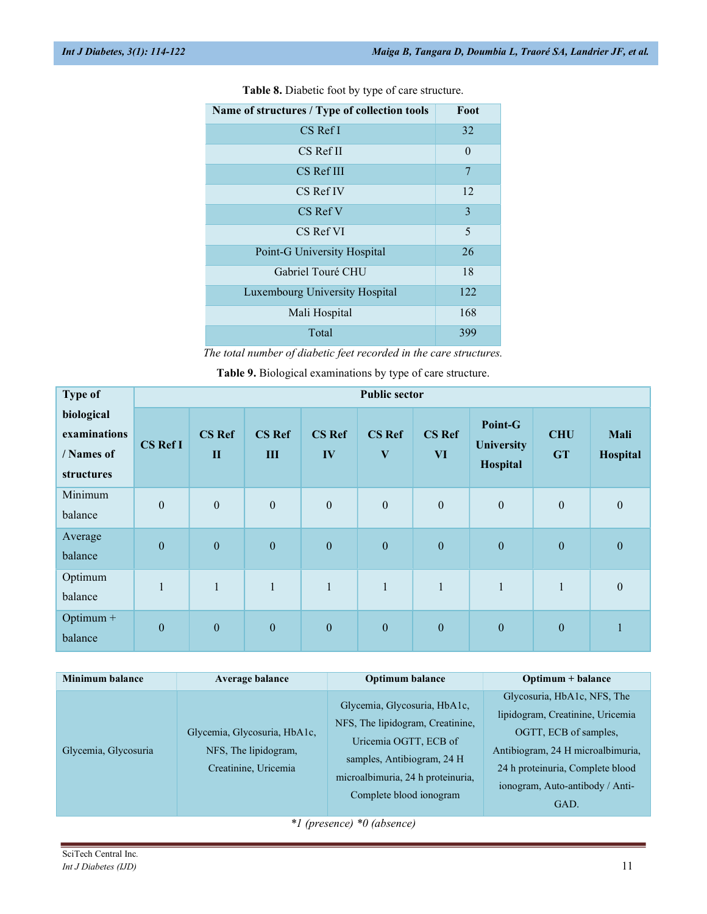| Name of structures / Type of collection tools | Foot     |
|-----------------------------------------------|----------|
| $CS$ Ref I                                    | 32       |
| CS Ref II                                     | $\Omega$ |
| CS Ref III                                    | 7        |
| CS Ref IV                                     | 12       |
| CS Ref V                                      | 3        |
| CS Ref VI                                     | 5        |
| Point-G University Hospital                   | 26       |
| Gabriel Touré CHU                             | 18       |
| Luxembourg University Hospital                | 12.2     |
| Mali Hospital                                 | 168      |
| Total                                         | 399      |

Table 8. Diabetic foot by type of care structure.

The total number of diabetic feet recorded in the care structures.

Table 9. Biological examinations by type of care structure.

| <b>Type of</b>                                         | <b>Public sector</b> |                               |                      |                     |                                          |                     |                                          |                         |                  |
|--------------------------------------------------------|----------------------|-------------------------------|----------------------|---------------------|------------------------------------------|---------------------|------------------------------------------|-------------------------|------------------|
| biological<br>examinations<br>/ Names of<br>structures | <b>CS Ref I</b>      | <b>CS Ref</b><br>$\mathbf{I}$ | <b>CS Ref</b><br>III | <b>CS Ref</b><br>IV | <b>CS Ref</b><br>$\overline{\mathbf{V}}$ | <b>CS Ref</b><br>VI | Point-G<br><b>University</b><br>Hospital | <b>CHU</b><br><b>GT</b> | Mali<br>Hospital |
| Minimum<br>balance                                     | $\boldsymbol{0}$     | $\boldsymbol{0}$              | $\mathbf{0}$         | $\boldsymbol{0}$    | $\boldsymbol{0}$                         | $\boldsymbol{0}$    | $\mathbf{0}$                             | $\mathbf{0}$            | $\mathbf{0}$     |
| Average<br>balance                                     | $\boldsymbol{0}$     | $\boldsymbol{0}$              | $\boldsymbol{0}$     | $\boldsymbol{0}$    | $\boldsymbol{0}$                         | $\boldsymbol{0}$    | $\boldsymbol{0}$                         | $\boldsymbol{0}$        | $\boldsymbol{0}$ |
| Optimum<br>balance                                     | $\mathbf{1}$         | $\mathbf{1}$                  | $\mathbf{1}$         | $\mathbf{1}$        | $\mathbf{1}$                             | $\mathbf{1}$        | $\mathbf{1}$                             | $\mathbf{1}$            | $\boldsymbol{0}$ |
| Optimum +<br>balance                                   | $\boldsymbol{0}$     | $\boldsymbol{0}$              | $\boldsymbol{0}$     | $\boldsymbol{0}$    | $\boldsymbol{0}$                         | $\boldsymbol{0}$    | $\boldsymbol{0}$                         | $\boldsymbol{0}$        |                  |

| Glycosuria, HbA1c, NFS, The<br>Glycemia, Glycosuria, HbA1c,<br>lipidogram, Creatinine, Uricemia<br>NFS, The lipidogram, Creatinine,<br>Glycemia, Glycosuria, HbA1c,<br>OGTT, ECB of samples,<br>Uricemia OGTT, ECB of<br>Antibiogram, 24 H microalbimuria,<br>Glycemia, Glycosuria<br>NFS, The lipidogram,<br>samples, Antibiogram, 24 H<br>Creatinine, Uricemia<br>24 h proteinuria, Complete blood<br>microalbimuria, 24 h proteinuria,<br>ionogram, Auto-antibody / Anti-<br>Complete blood ionogram<br>GAD. | <b>Minimum balance</b> | <b>Average balance</b> | <b>Optimum balance</b> | Optimum + balance |
|-----------------------------------------------------------------------------------------------------------------------------------------------------------------------------------------------------------------------------------------------------------------------------------------------------------------------------------------------------------------------------------------------------------------------------------------------------------------------------------------------------------------|------------------------|------------------------|------------------------|-------------------|
| $\mathbf{v}$ $\mathbf{v}$                                                                                                                                                                                                                                                                                                                                                                                                                                                                                       |                        |                        |                        |                   |

\*1 (presence) \*0 (absence)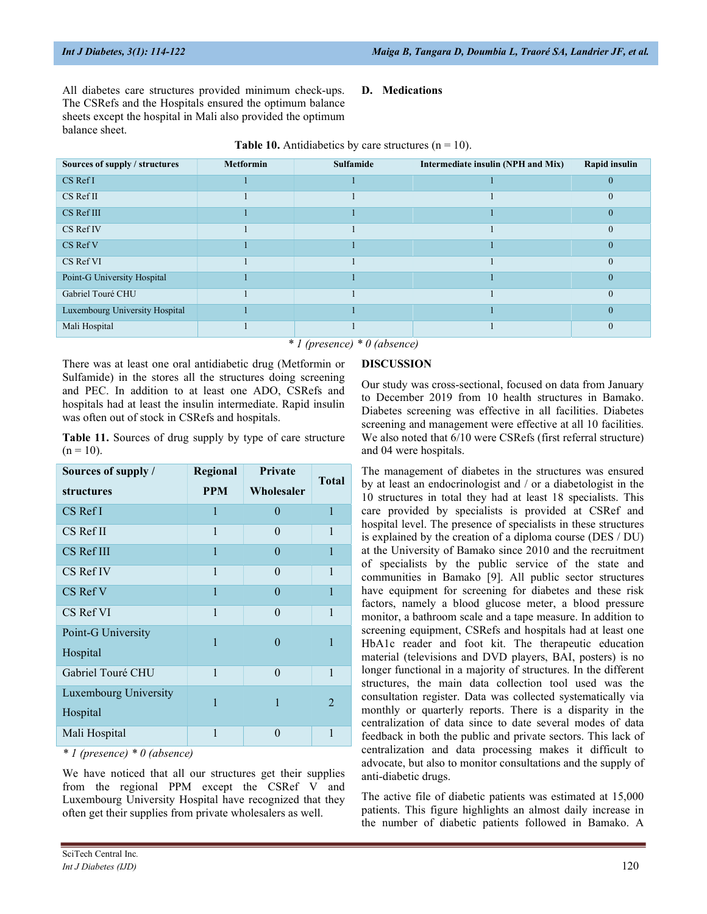All diabetes care structures provided minimum check-ups. The CSRefs and the Hospitals ensured the optimum balance sheets except the hospital in Mali also provided the optimum balance sheet.

### D. Medications

| Sources of supply / structures | <b>Metformin</b> | Sulfamide | Intermediate insulin (NPH and Mix) | Rapid insulin |  |  |  |
|--------------------------------|------------------|-----------|------------------------------------|---------------|--|--|--|
| CS Ref I                       |                  |           |                                    |               |  |  |  |
| $CS$ Ref II                    |                  |           |                                    | $\Omega$      |  |  |  |
| CS Ref III                     |                  |           |                                    |               |  |  |  |
| CS Ref IV                      |                  |           |                                    | $\Omega$      |  |  |  |
| CS Ref V                       |                  |           |                                    |               |  |  |  |
| CS Ref VI                      |                  |           |                                    | $\theta$      |  |  |  |
| Point-G University Hospital    |                  |           |                                    |               |  |  |  |
| Gabriel Touré CHU              |                  |           |                                    | $\Omega$      |  |  |  |
| Luxembourg University Hospital |                  |           |                                    |               |  |  |  |
| Mali Hospital                  |                  |           |                                    |               |  |  |  |
| $*1$ (nuasanga) $*0$ (absence) |                  |           |                                    |               |  |  |  |

### **Table 10.** Antidiabetics by care structures  $(n = 10)$ .

\* 1 (presence) \* 0 (absence)

There was at least one oral antidiabetic drug (Metformin or Sulfamide) in the stores all the structures doing screening and PEC. In addition to at least one ADO, CSRefs and hospitals had at least the insulin intermediate. Rapid insulin was often out of stock in CSRefs and hospitals.

Table 11. Sources of drug supply by type of care structure  $(n = 10)$ .

| Sources of supply /   | Regional     | <b>Private</b> | <b>Total</b>   |
|-----------------------|--------------|----------------|----------------|
| structures            | <b>PPM</b>   | Wholesaler     |                |
| $CS$ Ref I            | 1            | $\theta$       | $\mathbf{1}$   |
| CS Ref II             | 1            | $\Omega$       | $\mathbf{1}$   |
| CS Ref III            | 1            | $\Omega$       | $\mathbf{1}$   |
| CS Ref IV             | 1            | 0              | 1              |
| CS Ref V              | $\mathbf{1}$ | $\theta$       | $\mathbf{1}$   |
| CS Ref VI             | 1            | $\Omega$       | 1              |
| Point-G University    | 1            | 0              | 1              |
| Hospital              |              |                |                |
| Gabriel Touré CHU     | 1            | 0              | 1              |
| Luxembourg University | 1            | 1              | $\mathfrak{D}$ |
| Hospital              |              |                |                |
| Mali Hospital         | 1            | 0              | 1              |

\* 1 (presence) \* 0 (absence)

We have noticed that all our structures get their supplies from the regional PPM except the CSRef V and Luxembourg University Hospital have recognized that they often get their supplies from private wholesalers as well.

DISCUSSION

Our study was cross-sectional, focused on data from January to December 2019 from 10 health structures in Bamako. Diabetes screening was effective in all facilities. Diabetes screening and management were effective at all 10 facilities. We also noted that 6/10 were CSRefs (first referral structure) and 04 were hospitals.

The management of diabetes in the structures was ensured by at least an endocrinologist and / or a diabetologist in the 10 structures in total they had at least 18 specialists. This care provided by specialists is provided at CSRef and hospital level. The presence of specialists in these structures is explained by the creation of a diploma course (DES / DU) at the University of Bamako since 2010 and the recruitment of specialists by the public service of the state and communities in Bamako [9]. All public sector structures have equipment for screening for diabetes and these risk factors, namely a blood glucose meter, a blood pressure monitor, a bathroom scale and a tape measure. In addition to screening equipment, CSRefs and hospitals had at least one HbA1c reader and foot kit. The therapeutic education material (televisions and DVD players, BAI, posters) is no longer functional in a majority of structures. In the different structures, the main data collection tool used was the consultation register. Data was collected systematically via monthly or quarterly reports. There is a disparity in the centralization of data since to date several modes of data feedback in both the public and private sectors. This lack of centralization and data processing makes it difficult to advocate, but also to monitor consultations and the supply of anti-diabetic drugs.

The active file of diabetic patients was estimated at 15,000 patients. This figure highlights an almost daily increase in the number of diabetic patients followed in Bamako. A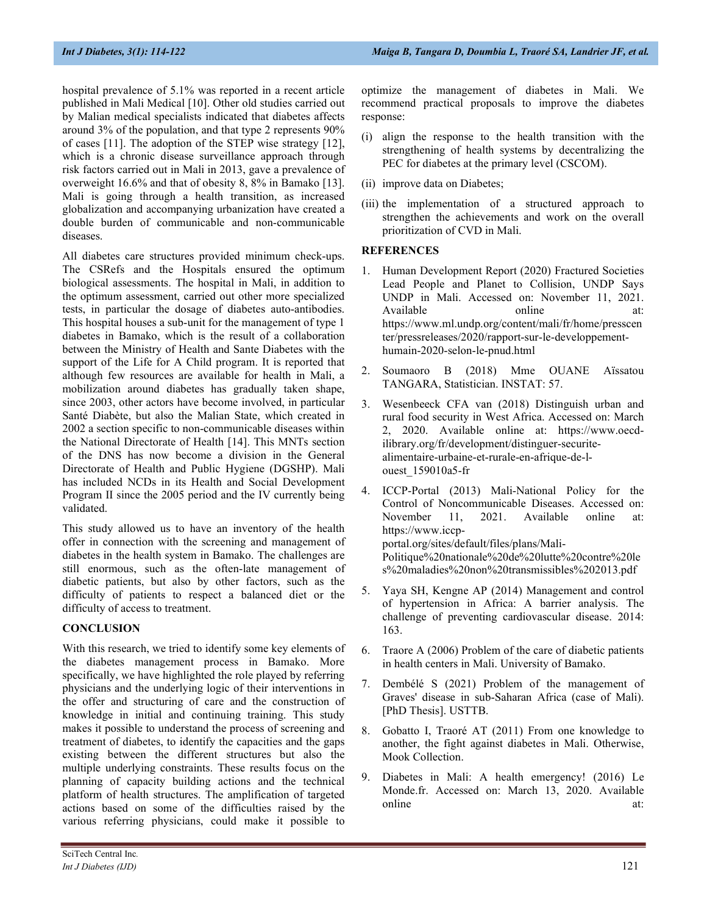hospital prevalence of 5.1% was reported in a recent article published in Mali Medical [10]. Other old studies carried out by Malian medical specialists indicated that diabetes affects around 3% of the population, and that type 2 represents 90% of cases [11]. The adoption of the STEP wise strategy [12], which is a chronic disease surveillance approach through risk factors carried out in Mali in 2013, gave a prevalence of overweight 16.6% and that of obesity 8, 8% in Bamako [13]. Mali is going through a health transition, as increased globalization and accompanying urbanization have created a double burden of communicable and non-communicable diseases.

All diabetes care structures provided minimum check-ups. The CSRefs and the Hospitals ensured the optimum biological assessments. The hospital in Mali, in addition to the optimum assessment, carried out other more specialized tests, in particular the dosage of diabetes auto-antibodies. This hospital houses a sub-unit for the management of type 1 diabetes in Bamako, which is the result of a collaboration between the Ministry of Health and Sante Diabetes with the support of the Life for A Child program. It is reported that although few resources are available for health in Mali, a mobilization around diabetes has gradually taken shape, since 2003, other actors have become involved, in particular Santé Diabète, but also the Malian State, which created in 2002 a section specific to non-communicable diseases within the National Directorate of Health [14]. This MNTs section of the DNS has now become a division in the General Directorate of Health and Public Hygiene (DGSHP). Mali has included NCDs in its Health and Social Development Program II since the 2005 period and the IV currently being validated.

This study allowed us to have an inventory of the health offer in connection with the screening and management of diabetes in the health system in Bamako. The challenges are still enormous, such as the often-late management of diabetic patients, but also by other factors, such as the difficulty of patients to respect a balanced diet or the difficulty of access to treatment.

# **CONCLUSION**

With this research, we tried to identify some key elements of the diabetes management process in Bamako. More specifically, we have highlighted the role played by referring physicians and the underlying logic of their interventions in the offer and structuring of care and the construction of knowledge in initial and continuing training. This study makes it possible to understand the process of screening and treatment of diabetes, to identify the capacities and the gaps existing between the different structures but also the multiple underlying constraints. These results focus on the planning of capacity building actions and the technical platform of health structures. The amplification of targeted actions based on some of the difficulties raised by the various referring physicians, could make it possible to

- (i) align the response to the health transition with the strengthening of health systems by decentralizing the PEC for diabetes at the primary level (CSCOM).
- (ii) improve data on Diabetes;
- (iii) the implementation of a structured approach to strengthen the achievements and work on the overall prioritization of CVD in Mali.

## **REFERENCES**

- 1. Human Development Report (2020) Fractured Societies Lead People and Planet to Collision, UNDP Says UNDP in Mali. Accessed on: November 11, 2021. Available online https://www.ml.undp.org/content/mali/fr/home/presscen ter/pressreleases/2020/rapport-sur-le-developpementhumain-2020-selon-le-pnud.html
- 2. Soumaoro B (2018) Mme OUANE Aïssatou TANGARA, Statistician. INSTAT: 57.
- 3. Wesenbeeck CFA van (2018) Distinguish urban and rural food security in West Africa. Accessed on: March 2, 2020. Available online at: https://www.oecdilibrary.org/fr/development/distinguer-securitealimentaire-urbaine-et-rurale-en-afrique-de-louest\_159010a5-fr
- ICCP-Portal (2013) Mali-National Policy for the Control of Noncommunicable Diseases. Accessed on: November 11, 2021. Available online at: https://www.iccpportal.org/sites/default/files/plans/Mali-Politique%20nationale%20de%20lutte%20contre%20le s%20maladies%20non%20transmissibles%202013.pdf
- 5. Yaya SH, Kengne AP (2014) Management and control of hypertension in Africa: A barrier analysis. The challenge of preventing cardiovascular disease. 2014: 163.
- 6. Traore A (2006) Problem of the care of diabetic patients in health centers in Mali. University of Bamako.
- 7. Dembélé S (2021) Problem of the management of Graves' disease in sub-Saharan Africa (case of Mali). [PhD Thesis]. USTTB.
- 8. Gobatto I, Traoré AT (2011) From one knowledge to another, the fight against diabetes in Mali. Otherwise, Mook Collection.
- 9. Diabetes in Mali: A health emergency! (2016) Le Monde.fr. Accessed on: March 13, 2020. Available online at: